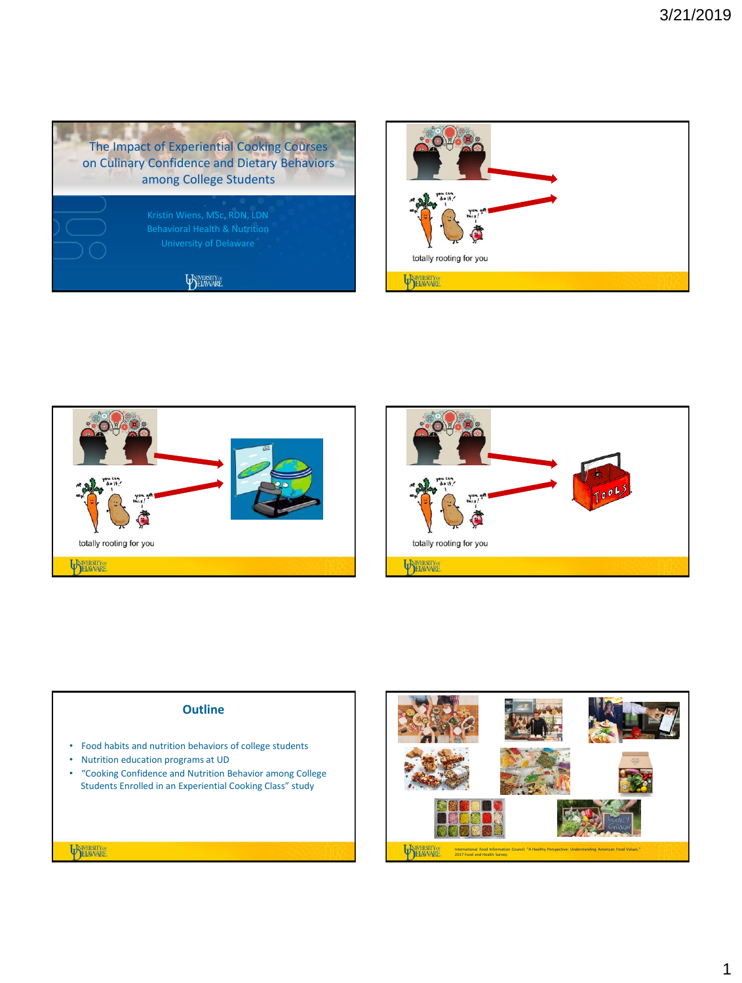









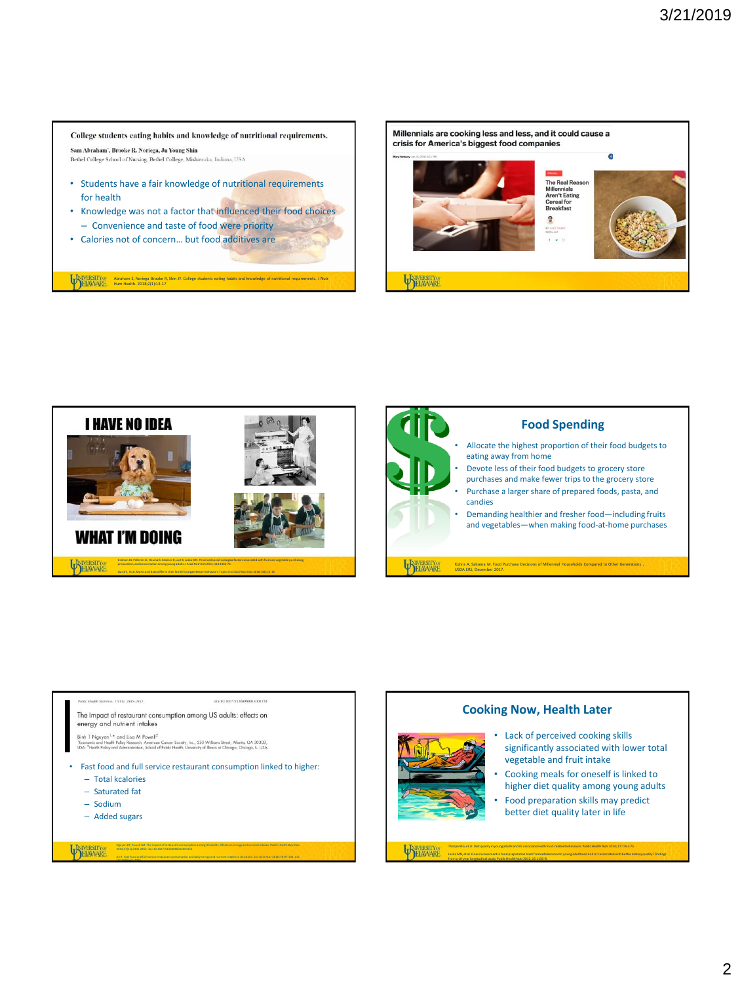#### College students eating habits and knowledge of nutritional requirements. Sam Abraham', Brooke R. Noriega, Ju Young Shin

Bethel College School of Nursing, Bethel College, Mishawaka, Indiana, USA

- Students have a fair knowledge of nutritional requirements for health
- Knowledge was not a factor that influenced their food choices – Convenience and taste of food were priority

Abraham S, Noriega Brooke R, Shin JY. College students eating habits and knowledge of nutritional requirements. J Nutr Hum Health. 2018;2(1):13-17

• Calories not of concern… but food additives are







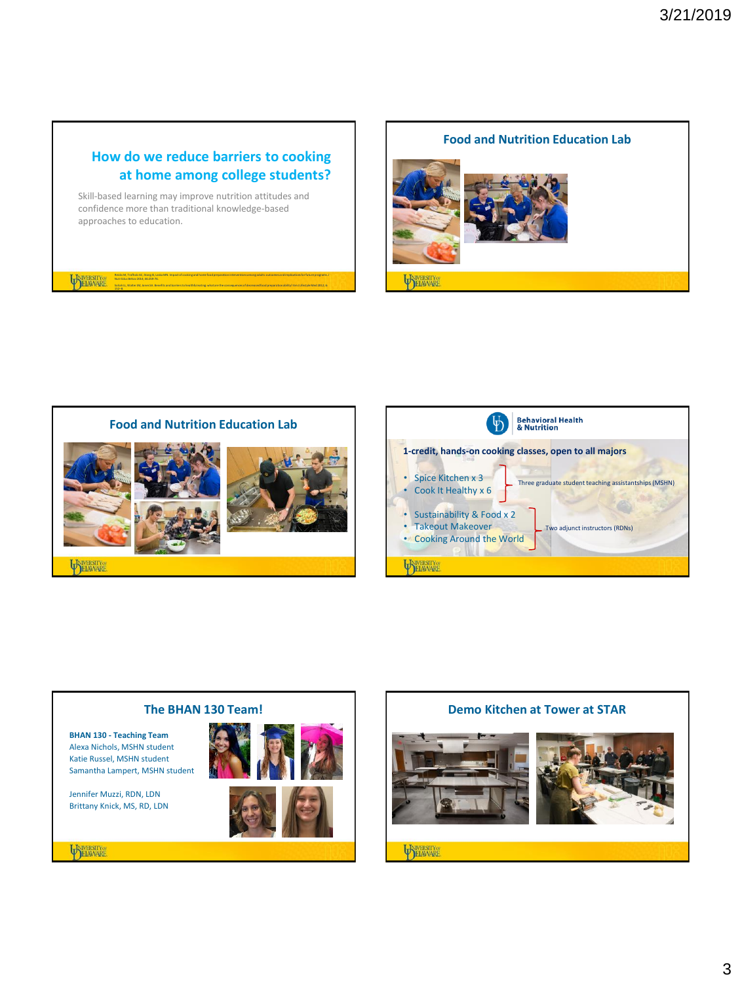# **How do we reduce barriers to cooking at home among college students?**

Reicks M, Trofholz AC, Stang JS, Laska MN. Impact of cooking and home food preparation interventions among adults: outcomes and implications for future programs. J

Soliah LL, Walter JM, Jones SA. Benefits and barriers to healthful eating: what are the consequences of decreased food preparation ability? Am J Lifestyle Med 2012; 6:

Skill-based learning may improve nutrition attitudes and confidence more than traditional knowledge-based approaches to education.

Nutr Educ Behav 2014; 46:259-76.

152–8.

ELAWARE

**Food and Nutrition Education Lab**

**TANERSITY** 

## **Behavioral Health<br>& Nutrition 1-credit, hands-on cooking classes, open to all majors** • Spice Kitchen x 3 Three graduate student teaching assistantships (MSHN) • Cook It Healthy x 6 • Sustainability & Food x 2 • Takeout Makeover Two adjunct instructors (RDNs) • Cooking Around the World **SAME ASSESSED PELAWARE**

**PYRERSITY** 

**Food and Nutrition Education Lab**



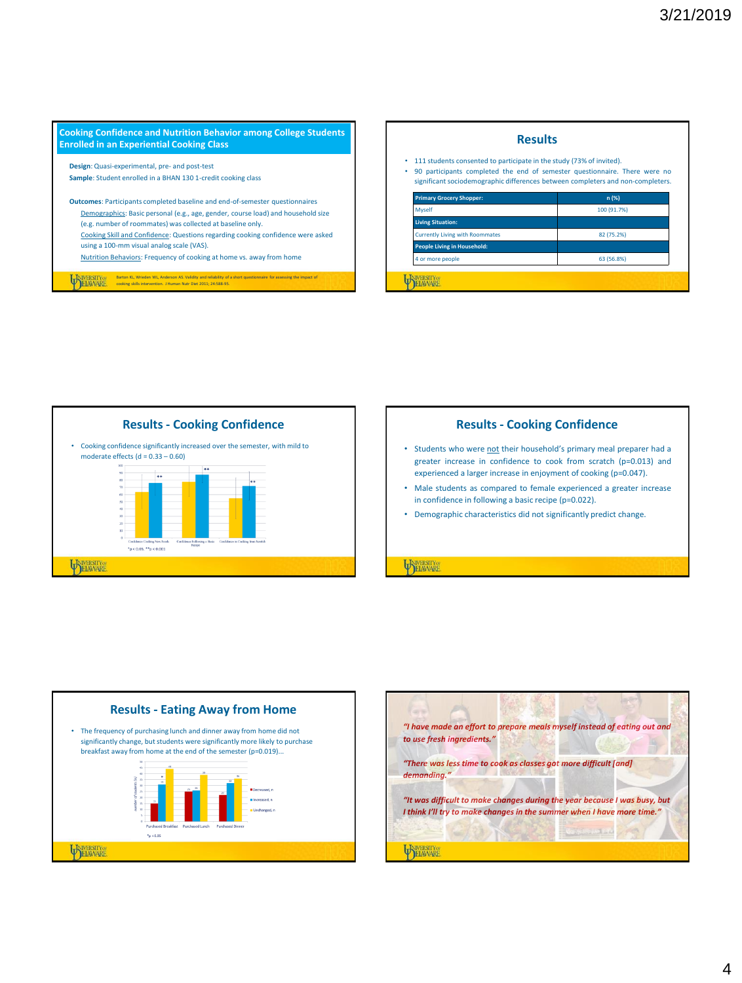





- Students who were not their household's primary meal preparer had a greater increase in confidence to cook from scratch (p=0.013) and experienced a larger increase in enjoyment of cooking (p=0.047).
- Male students as compared to female experienced a greater increase in confidence in following a basic recipe (p=0.022).
- Demographic characteristics did not significantly predict change.

**ELAWARE** 



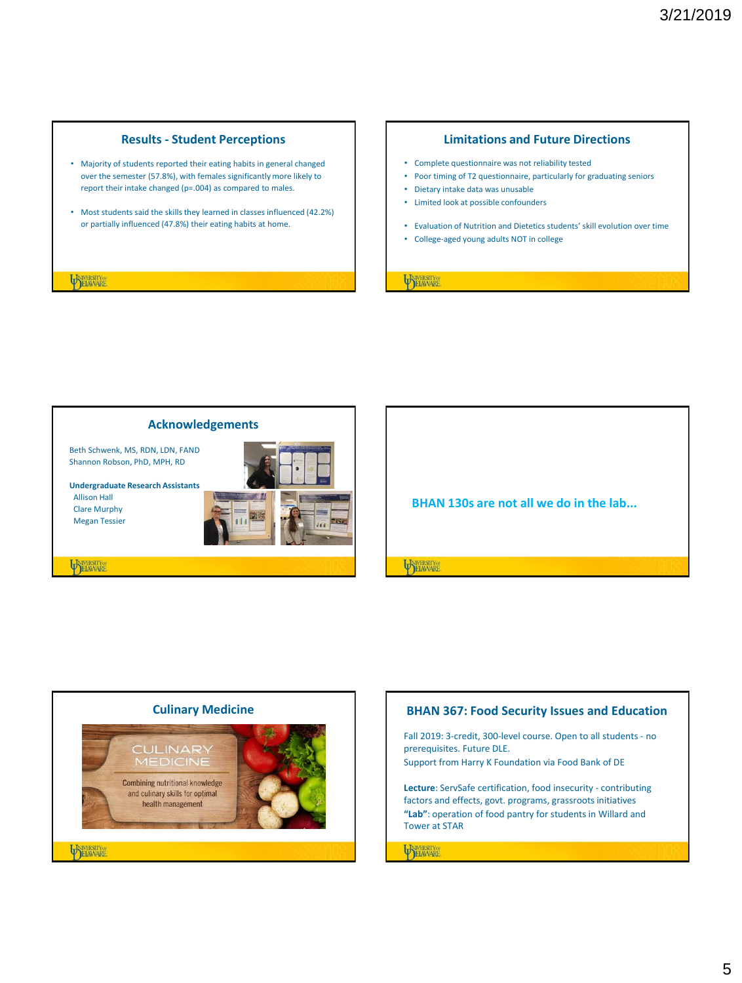# **Results - Student Perceptions**

- Majority of students reported their eating habits in general changed over the semester (57.8%), with females significantly more likely to report their intake changed (p=.004) as compared to males.
- Most students said the skills they learned in classes influenced (42.2%) or partially influenced (47.8%) their eating habits at home.

#### **EXAMPLE SERVICE CONTRACT AND ACCOUNT OF THE CONTRACT OF THE CONTRACT OF THE CONTRACT OF THE CONTRACT OF THE CONTRACT OF THE CONTRACT OF THE CONTRACT OF THE CONTRACT OF THE CONTRACT OF THE CONTRACT OF THE CONTRACT OF THE C**

### **Limitations and Future Directions**

- Complete questionnaire was not reliability tested
- Poor timing of T2 questionnaire, particularly for graduating seniors
- Dietary intake data was unusable
- Limited look at possible confounders
- Evaluation of Nutrition and Dietetics students' skill evolution over time
- College-aged young adults NOT in college

**TELAWARE** 



**BHAN 130s are not all we do in the lab... ELAWARE**